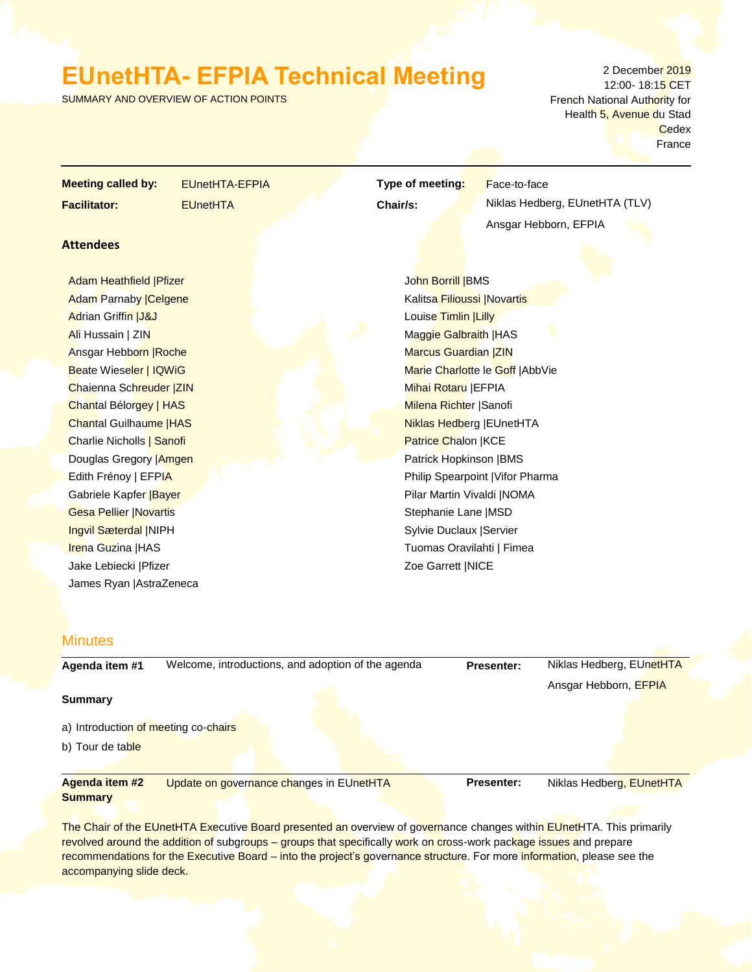# **EUnetHTA- EFPIA Technical Meeting**

SUMMARY AND OVERVIEW OF ACTION POINTS

2 December 2019 12:00- 18:15 CET French National Authority for Health 5, Avenue du Stad **Cedex** France

**Meeting called by:** EUnetHTA-EFPIA **Type of meeting:** Face-to-face

#### **Attendees**

Adam Heathfield |Pfizer Adam Parnaby |Celgene **Adrian Griffin J&J** Ali Hussain | ZIN Ansgar Hebborn |Roche Beate Wieseler | IQWiG Chaienna Schreuder |ZIN **Chantal Bélorgey | HAS** Chantal Guilhaume |HAS **Charlie Nicholls | Sanofi** Douglas Gregory |Amgen Edith Frénoy | EFPIA Gabriele Kapfer | Bayer Gesa Pellier |Novartis Ingvil Sæterdal |NIPH Irena Guzina |HAS Jake Lebiecki |Pfizer James Ryan |AstraZeneca

**Facilitator:** EUnetHTA **Chair/s:** Niklas Hedberg, EUnetHTA (TLV) Ansgar Hebborn, EFPIA

> John Borrill **BMS** Kalitsa Filioussi |Novartis Louise Timlin | Lilly Maggie Galbraith | HAS Marcus Guardian | ZIN Marie Charlotte le Goff | AbbVie Mihai Rotaru |EFPIA Milena Richter |Sanofi Niklas Hedberg |EUnetHTA Patrice Chalon |KCE Patrick Hopkinson |BMS Philip Spearpoint |Vifor Pharma Pilar Martin Vivaldi |NOMA Stephanie Lane |MSD Sylvie Duclaux |Servier Tuomas Oravilahti | Fimea Zoe Garrett |NICE

### **Minutes**

**Summary**

Agenda item #1 Welcome, introductions, and adoption of the agenda **Presenter:** Niklas Hedberg, EUnetHTA Ansgar Hebborn, EFPIA **Summary** a) Introduction of meeting co-chairs b) Tour de table **Agenda item #2** Update on governance changes in EUnetHTA **Presenter:** Niklas Hedberg, EUnetHTA

The Chair of the EUnetHTA Executive Board presented an overview of governance changes within EUnetHTA. This primarily revolved around the addition of subgroups – groups that specifically work on cross-work package issues and prepare recommendations for the Executive Board – into the project's governance structure. For more information, please see the accompanying slide deck.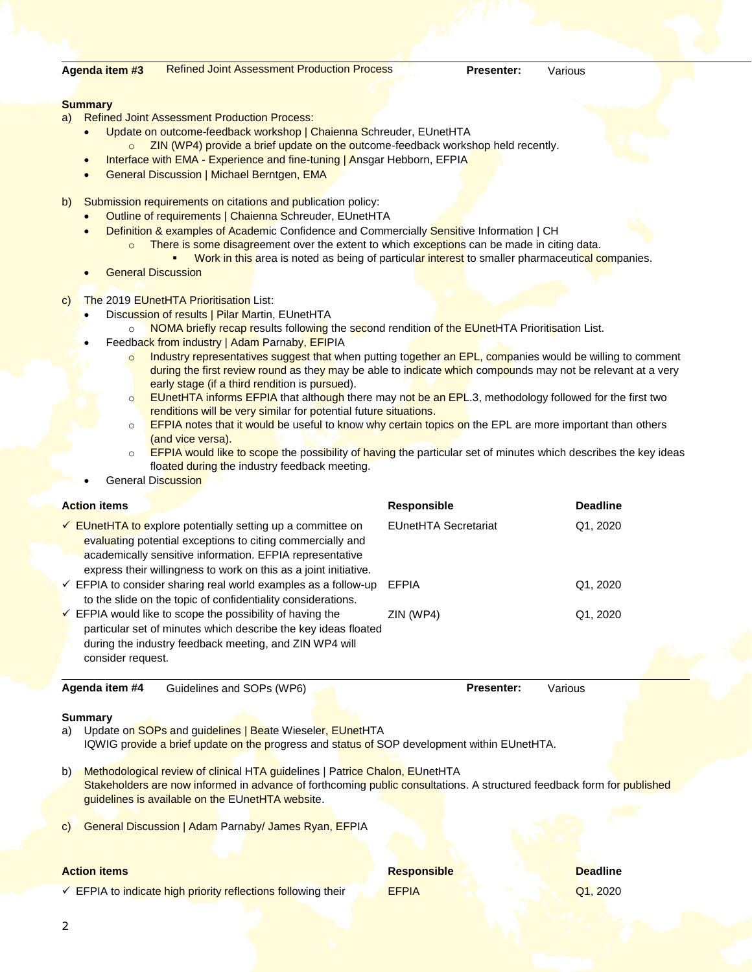#### **Agenda item #3** Refined Joint Assessment Production Process **Presenter:** Various

#### **Summary**

- a) Refined Joint Assessment Production Process:
	- Update on outcome-feedback workshop | Chaienna Schreuder, EUnetHTA
		- $\circ$  ZIN (WP4) provide a brief update on the outcome-feedback workshop held recently.
	- Interface with EMA Experience and fine-tuning | Ansgar Hebborn, EFPIA
	- General Discussion | Michael Berntgen, EMA
- b) Submission requirements on citations and publication policy:
	- **Outline of requirements | Chaienna Schreuder, EUnetHTA** 
		- Definition & examples of Academic Confidence and Commercially Sensitive Information | CH
			- $\circ$  There is some disagreement over the extent to which exceptions can be made in citing data.
				- Work in this area is noted as being of particular interest to smaller pharmaceutical companies.
	- General Discussion
- c) The 2019 EUnetHTA Prioritisation List:
	- Discussion of results | Pilar Martin, EUnetHTA
		- o NOMA briefly recap results following the second rendition of the EUnetHTA Prioritisation List.
	- Feedback from industry | Adam Parnaby, EFIPIA
		- o Industry representatives suggest that when putting together an EPL, companies would be willing to comment during the first review round as they may be able to indicate which compounds may not be relevant at a very early stage (if a third rendition is pursued).
		- o EUnetHTA informs EFPIA that although there may not be an EPL.3, methodology followed for the first two renditions will be very similar for potential future situations.
		- o **EFPIA notes that it would be useful to know why certain topics on** the EPL are more important than others (and vice versa).
		- o **EFPIA would like to scope the possibility of having the particular set of minutes which describes the key ideas** floated during the industry feedback meeting.
	- General Discussion

| <b>Action items</b> |                   |                                                                                                                                                                                                                                                                      | <b>Responsible</b>          | <b>Deadline</b> |
|---------------------|-------------------|----------------------------------------------------------------------------------------------------------------------------------------------------------------------------------------------------------------------------------------------------------------------|-----------------------------|-----------------|
|                     |                   | $\checkmark$ EUnetHTA to explore potentially setting up a committee on<br>evaluating potential exceptions to citing commercially and<br>academically sensitive information. EFPIA representative<br>express their willingness to work on this as a joint initiative. | <b>EUnetHTA Secretariat</b> | Q1, 2020        |
|                     |                   | $\checkmark$ EFPIA to consider sharing real world examples as a follow-up<br>to the slide on the topic of confidentiality considerations.                                                                                                                            | EFPIA                       | Q1, 2020        |
|                     | consider request. | $\checkmark$ EFPIA would like to scope the possibility of having the<br>particular set of minutes which describe the key ideas floated<br>during the industry feedback meeting, and ZIN WP4 will                                                                     | ZIN (WP4)                   | Q1, 2020        |

**Agenda item #4** Guidelines and SOPs (WP6) **Presenter:** Various

#### **Summary**

- a) Update on SOPs and guidelines | Beate Wieseler, EUnetHTA IQWIG provide a brief update on the progress and status of SOP development within EUnetHTA.
- b) Methodological review of clinical HTA guidelines | Patrice Chalon, EUnetHTA Stakeholders are now informed in advance of forthcoming public consultations. A structured feedback form for published guidelines is available on the EUnetHTA website.
- c) General Discussion | Adam Parnaby/ James Ryan, EFPIA

 $\checkmark$  EFPIA to indicate high priority reflections following their EFPIA  $Q1$ , 2020

**Action items Responsible Deadline**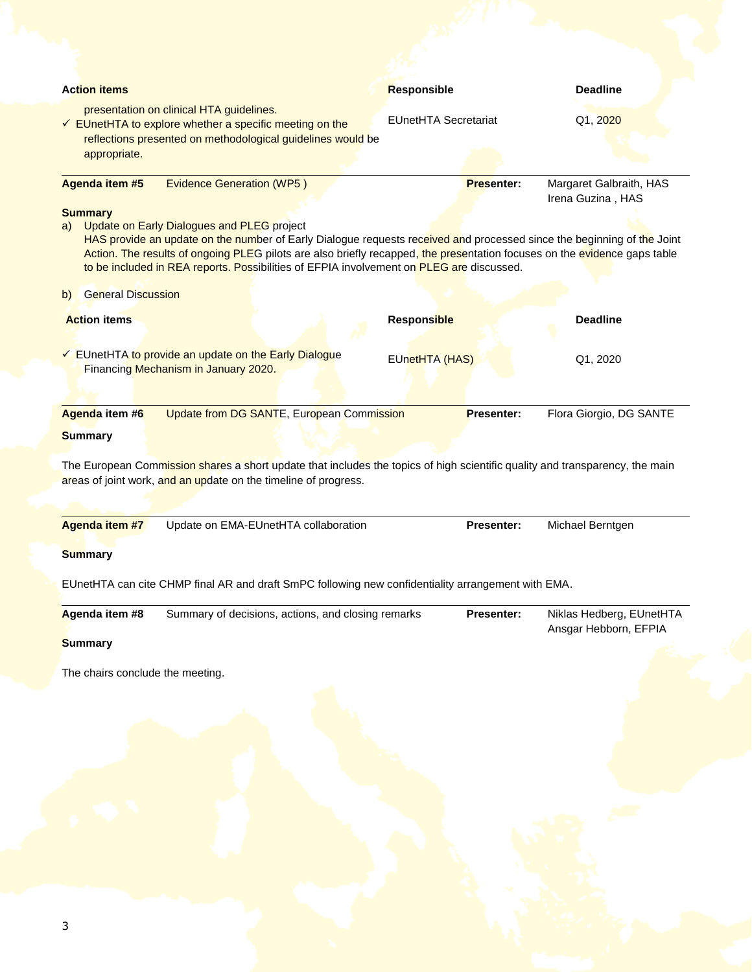| <b>Action items</b>                                                                                                                                                                                                                                                                                                                                                                                 | <b>Responsible</b>          | <b>Deadline</b>                                   |  |  |
|-----------------------------------------------------------------------------------------------------------------------------------------------------------------------------------------------------------------------------------------------------------------------------------------------------------------------------------------------------------------------------------------------------|-----------------------------|---------------------------------------------------|--|--|
| presentation on clinical HTA guidelines.<br>← EUnetHTA to explore whether a specific meeting on the<br>reflections presented on methodological guidelines would be<br>appropriate.                                                                                                                                                                                                                  | <b>EUnetHTA Secretariat</b> | Q1, 2020                                          |  |  |
| Agenda item #5<br><b>Evidence Generation (WP5)</b><br><b>Summary</b>                                                                                                                                                                                                                                                                                                                                | <b>Presenter:</b>           | Margaret Galbraith, HAS<br>Irena Guzina, HAS      |  |  |
| Update on Early Dialogues and PLEG project<br>a)<br>HAS provide an update on the number of Early Dialogue requests received and processed since the beginning of the Joint<br>Action. The results of ongoing PLEG pilots are also briefly recapped, the presentation focuses on the evidence gaps table<br>to be included in REA reports. Possibilities of EFPIA involvement on PLEG are discussed. |                             |                                                   |  |  |
| <b>General Discussion</b><br>b)                                                                                                                                                                                                                                                                                                                                                                     |                             |                                                   |  |  |
| <b>Action items</b>                                                                                                                                                                                                                                                                                                                                                                                 | <b>Responsible</b>          | <b>Deadline</b>                                   |  |  |
| ← EUnetHTA to provide an update on the Early Dialogue<br>Financing Mechanism in January 2020.                                                                                                                                                                                                                                                                                                       | EUnetHTA (HAS)              | Q1, 2020                                          |  |  |
| Agenda item #6<br><b>Update from DG SANTE, European Commission</b><br><b>Summary</b>                                                                                                                                                                                                                                                                                                                | <b>Presenter:</b>           | Flora Giorgio, DG SANTE                           |  |  |
| The European Commission shares a short update that includes the topics of high scientific quality and transparency, the main<br>areas of joint work, and an update on the timeline of progress.                                                                                                                                                                                                     |                             |                                                   |  |  |
| Agenda item #7<br>Update on EMA-EUnetHTA collaboration                                                                                                                                                                                                                                                                                                                                              | <b>Presenter:</b>           | Michael Berntgen                                  |  |  |
| <b>Summary</b>                                                                                                                                                                                                                                                                                                                                                                                      |                             |                                                   |  |  |
| EUnetHTA can cite CHMP final AR and draft SmPC following new confidentiality arrangement with EMA.                                                                                                                                                                                                                                                                                                  |                             |                                                   |  |  |
| Agenda item #8<br>Summary of decisions, actions, and closing remarks                                                                                                                                                                                                                                                                                                                                | <b>Presenter:</b>           | Niklas Hedberg, EUnetHTA<br>Ansgar Hebborn, EFPIA |  |  |
| <b>Summary</b>                                                                                                                                                                                                                                                                                                                                                                                      |                             |                                                   |  |  |
| The chairs conclude the meeting.                                                                                                                                                                                                                                                                                                                                                                    |                             |                                                   |  |  |
|                                                                                                                                                                                                                                                                                                                                                                                                     |                             |                                                   |  |  |
|                                                                                                                                                                                                                                                                                                                                                                                                     |                             |                                                   |  |  |